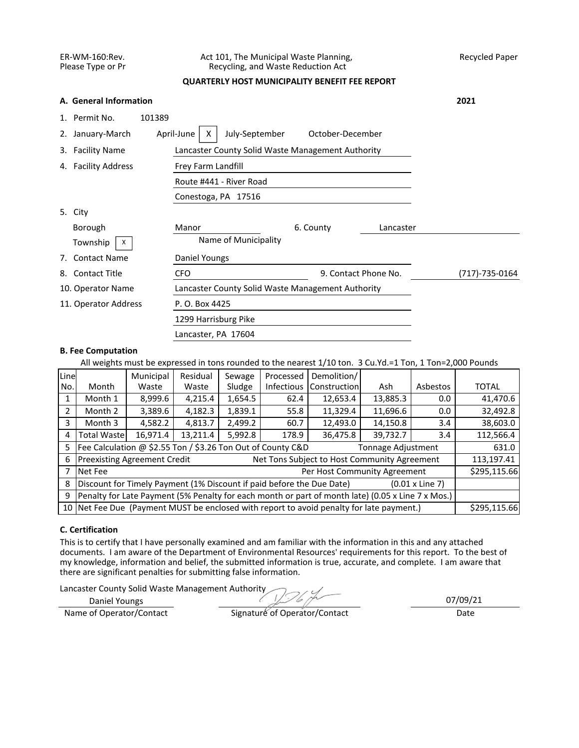### ER-WM-160:Rev. Act 101, The Municipal Waste Planning, Recycled Paper<br>Please Type or Pr Recycling, and Waste Reduction Act Recycling, and Waste Reduction Act

## **QUARTERLY HOST MUNICIPALITY BENEFIT FEE REPORT**

|    | A. General Information      |                                                   |                      |           | 2021           |
|----|-----------------------------|---------------------------------------------------|----------------------|-----------|----------------|
|    | 1. Permit No.<br>101389     |                                                   |                      |           |                |
| 2. | April-June<br>January-March | October-December                                  |                      |           |                |
|    | 3. Facility Name            | Lancaster County Solid Waste Management Authority |                      |           |                |
|    | 4. Facility Address         |                                                   |                      |           |                |
|    |                             |                                                   |                      |           |                |
|    |                             |                                                   |                      |           |                |
|    | 5. City                     |                                                   |                      |           |                |
|    | Borough                     | Manor                                             | 6. County            | Lancaster |                |
|    | Township<br>X               | Name of Municipality                              |                      |           |                |
| 7. | <b>Contact Name</b>         | Daniel Youngs                                     |                      |           |                |
| 8. | <b>Contact Title</b>        | <b>CFO</b>                                        | 9. Contact Phone No. |           | (717)-735-0164 |
|    | 10. Operator Name           | Lancaster County Solid Waste Management Authority |                      |           |                |
|    | 11. Operator Address        | P. O. Box 4425                                    |                      |           |                |
|    |                             | 1299 Harrisburg Pike                              |                      |           |                |
|    |                             | Lancaster, PA 17604                               |                      |           |                |

### **B. Fee Computation**

All weights must be expressed in tons rounded to the nearest 1/10 ton. 3 Cu.Yd.=1 Ton, 1 Ton=2,000 Pounds

| Line | Residual<br>Demolition/<br>Municipal<br>Processed<br>Sewage                                       |       |       |        |                   |              |     |          |              |  |  |
|------|---------------------------------------------------------------------------------------------------|-------|-------|--------|-------------------|--------------|-----|----------|--------------|--|--|
| No.  | Month                                                                                             | Waste | Waste | Sludge | <b>Infectious</b> | Construction | Ash | Asbestos | <b>TOTAL</b> |  |  |
|      | 1,654.5<br>13,885.3<br>8,999.6<br>4,215.4<br>62.4<br>12,653.4<br>Month 1<br>0.0                   |       |       |        |                   |              |     |          | 41,470.6     |  |  |
| 2    | 11,329.4<br>3,389.6<br>4,182.3<br>1,839.1<br>11,696.6<br>55.8<br>Month 2<br>0.0                   |       |       |        |                   |              |     |          | 32,492.8     |  |  |
| 3    | 12,493.0<br>4,813.7<br>2,499.2<br>14,150.8<br>4,582.2<br>3.4<br>Month 3<br>60.7                   |       |       |        |                   |              |     |          |              |  |  |
| 4    | 13,211.4<br>5,992.8<br>36,475.8<br>39,732.7<br><b>Total Wastel</b><br>16,971.4<br>178.9<br>3.4    |       |       |        |                   |              |     |          | 112,566.4    |  |  |
| 5    | Fee Calculation @ \$2.55 Ton / \$3.26 Ton Out of County C&D<br>Tonnage Adjustment                 |       |       |        |                   |              |     |          |              |  |  |
| 6    | <b>Preexisting Agreement Credit</b><br>Net Tons Subject to Host Community Agreement               |       |       |        |                   |              |     |          |              |  |  |
|      | Per Host Community Agreement<br>Net Fee                                                           |       |       |        |                   |              |     |          |              |  |  |
| 8    | Discount for Timely Payment (1% Discount if paid before the Due Date)<br>$(0.01 \times$ Line 7)   |       |       |        |                   |              |     |          |              |  |  |
| q    | Penalty for Late Payment (5% Penalty for each month or part of month late) (0.05 x Line 7 x Mos.) |       |       |        |                   |              |     |          |              |  |  |
|      | 10 Net Fee Due (Payment MUST be enclosed with report to avoid penalty for late payment.)          |       |       |        |                   |              |     |          |              |  |  |

# **C. Certification**

This is to certify that I have personally examined and am familiar with the information in this and any attached documents. I am aware of the Department of Environmental Resources' requirements for this report. To the best of my knowledge, information and belief, the submitted information is true, accurate, and complete. I am aware that there are significant penalties for submitting false information.

Lancaster County Solid Waste Management Authority

Daniel Youngs

07/09/21

Name of Operator/Contact Signature of Operator/Contact Date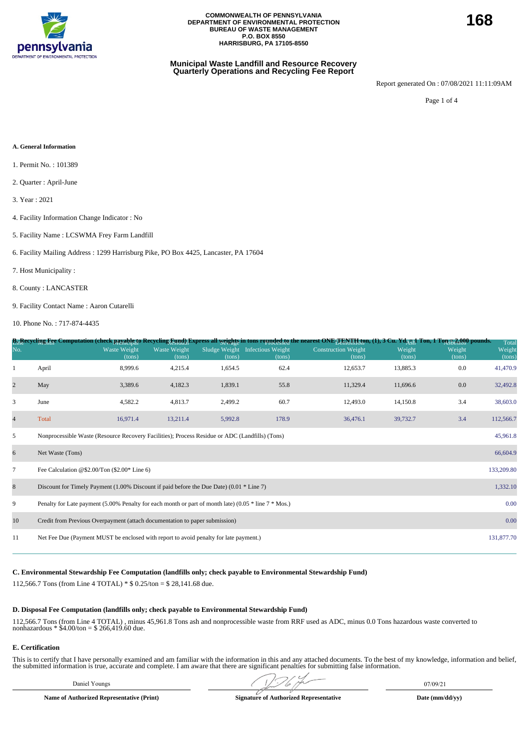

#### **Municipal Waste Landfill and Resource Recovery Quarterly Operations and Recycling Fee Report**

Report generated On : 07/08/2021 11:11:09AM

Page 1 of 4

#### **A. General Information**

- 1. Permit No. : 101389
- 2. Quarter : April-June
- 3. Year : 2021
- 4. Facility Information Change Indicator : No
- 5. Facility Name : LCSWMA Frey Farm Landfill
- 6. Facility Mailing Address : 1299 Harrisburg Pike, PO Box 4425, Lancaster, PA 17604
- 7. Host Municipality :
- 8. County : LANCASTER
- 9. Facility Contact Name : Aaron Cutarelli

10. Phone No. : 717-874-4435

|                          |                                                                                                                  |                        |                               |         |                                           | B <sub>L</sub> Recycling Fee Computation (check payable to Recycling Eund) Express all weights in tons rounded to the nearest ONE TENTH, fon, (1), 3 Cu. Yd <sub>AU</sub> A Ton, 1 Ton 52, 000 pounds. |                  |                  | Total            |  |
|--------------------------|------------------------------------------------------------------------------------------------------------------|------------------------|-------------------------------|---------|-------------------------------------------|--------------------------------------------------------------------------------------------------------------------------------------------------------------------------------------------------------|------------------|------------------|------------------|--|
| No.                      |                                                                                                                  | Waste Weight<br>(tons) | <b>Waste Weight</b><br>(tons) | (tons)  | Sludge Weight Infectious Weight<br>(tons) | <b>Construction Weight</b><br>(tons)                                                                                                                                                                   | Weight<br>(tons) | Weight<br>(tons) | Weight<br>(tons) |  |
| 1                        | April                                                                                                            | 8,999.6                | 4,215.4                       | 1,654.5 | 62.4                                      | 12,653.7                                                                                                                                                                                               | 13,885.3         | 0.0              | 41,470.9         |  |
| $\overline{2}$           | May                                                                                                              | 3,389.6                | 4,182.3                       | 1,839.1 | 55.8                                      | 11,329.4                                                                                                                                                                                               | 11,696.6         | 0.0              | 32,492.8         |  |
| 3                        | June                                                                                                             | 4,582.2                | 4,813.7                       | 2,499.2 | 60.7                                      | 12,493.0                                                                                                                                                                                               | 14,150.8         | 3.4              | 38,603.0         |  |
| $\overline{\mathcal{L}}$ | Total                                                                                                            | 16,971.4               | 13,211.4                      | 5,992.8 | 178.9                                     | 36,476.1                                                                                                                                                                                               | 39,732.7         | 3.4              | 112,566.7        |  |
| 5                        | Nonprocessible Waste (Resource Recovery Facilities); Process Residue or ADC (Landfills) (Tons)<br>45,961.8       |                        |                               |         |                                           |                                                                                                                                                                                                        |                  |                  |                  |  |
| 6                        | Net Waste (Tons)<br>66,604.9                                                                                     |                        |                               |         |                                           |                                                                                                                                                                                                        |                  |                  |                  |  |
| $\overline{7}$           | 133,209.80<br>Fee Calculation @\$2.00/Ton $(\$2.00*$ Line 6)                                                     |                        |                               |         |                                           |                                                                                                                                                                                                        |                  |                  |                  |  |
| $\,8\,$                  | Discount for Timely Payment $(1.00\%$ Discount if paid before the Due Date) $(0.01 * Line 7)$                    |                        |                               |         |                                           |                                                                                                                                                                                                        |                  |                  | 1,332.10         |  |
| 9                        | 0.00<br>Penalty for Late payment (5.00% Penalty for each month or part of month late) (0.05 $*$ line 7 $*$ Mos.) |                        |                               |         |                                           |                                                                                                                                                                                                        |                  |                  |                  |  |
| 10                       | 0.00<br>Credit from Previous Overpayment (attach documentation to paper submission)                              |                        |                               |         |                                           |                                                                                                                                                                                                        |                  |                  |                  |  |
| 11                       | Net Fee Due (Payment MUST be enclosed with report to avoid penalty for late payment.)                            |                        |                               |         |                                           |                                                                                                                                                                                                        |                  |                  | 131,877.70       |  |

#### **C. Environmental Stewardship Fee Computation (landfills only; check payable to Environmental Stewardship Fund)**

112,566.7 Tons (from Line 4 TOTAL) \* \$ 0.25/ton = \$ 28,141.68 due.

#### **D. Disposal Fee Computation (landfills only; check payable to Environmental Stewardship Fund)**

112,566.7 Tons (from Line 4 TOTAL) , minus 45,961.8 Tons ash and nonprocessible waste from RRF used as ADC, minus 0.0 Tons hazardous waste converted to nonhazardous \* \$4.00/ton = \$ 266,419.60 due.

#### **E. Certification**

This is to certify that I have personally examined and am familiar with the information in this and any attached documents. To the best of my knowledge, information and belief, the submitted information is true, accurate and complete. I am aware that there are significant penalties for submitting false information.

Daniel Youngs 07/09/21  $\sqrt{2}$   $\sqrt{2}$   $\sqrt{2}$  07/09/21

**Name of Authorized Representative (Print) Signature of Authorized Representative Date (mm/dd/yy)**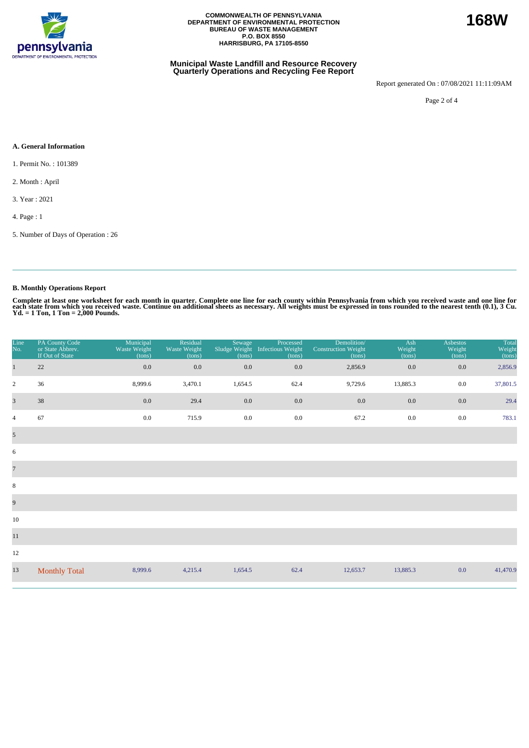

#### **Municipal Waste Landfill and Resource Recovery Quarterly Operations and Recycling Fee Report**

Report generated On : 07/08/2021 11:11:09AM

Page 2 of 4

### **A. General Information**

1. Permit No. : 101389

2. Month : April

3. Year : 2021

4. Page : 1

5. Number of Days of Operation : 26

## **B. Monthly Operations Report**

Complete at least one worksheet for each month in quarter. Complete one line for each county within Pennsylvania from which you received waste and one line for<br>each state from which you received waste. Continue on addition

| Line<br>No.             | PA County Code<br>or State Abbrev.<br>If Out of State | Municipal<br>Waste Weight<br>(tons) | Residual<br>Waste Weight<br>(tons) | Sewage<br>(tons) | Processed<br>Sludge Weight Infectious Weight<br>(tons) | Demolition/<br><b>Construction Weight</b><br>(tons) | Ash<br>Weight<br>(tons) | <b>Asbestos</b><br>Weight<br>(tons) | Total<br>Weight<br>(tons) |
|-------------------------|-------------------------------------------------------|-------------------------------------|------------------------------------|------------------|--------------------------------------------------------|-----------------------------------------------------|-------------------------|-------------------------------------|---------------------------|
| $\mathbf{1}$            | 22                                                    | 0.0                                 | 0.0                                | $0.0\,$          | $0.0\,$                                                | 2,856.9                                             | $0.0\,$                 | 0.0                                 | 2,856.9                   |
| $\overline{2}$          | 36                                                    | 8,999.6                             | 3,470.1                            | 1,654.5          | 62.4                                                   | 9,729.6                                             | 13,885.3                | $0.0\,$                             | 37,801.5                  |
| $\overline{\mathbf{3}}$ | 38                                                    | $0.0\,$                             | 29.4                               | 0.0              | 0.0                                                    | 0.0                                                 | 0.0                     | 0.0                                 | 29.4                      |
| $\overline{4}$          | 67                                                    | 0.0                                 | 715.9                              | $0.0\,$          | $0.0\,$                                                | 67.2                                                | $0.0\,$                 | 0.0                                 | 783.1                     |
| $\mathfrak{S}$          |                                                       |                                     |                                    |                  |                                                        |                                                     |                         |                                     |                           |
| 6                       |                                                       |                                     |                                    |                  |                                                        |                                                     |                         |                                     |                           |
| $\overline{7}$          |                                                       |                                     |                                    |                  |                                                        |                                                     |                         |                                     |                           |
| $\,8\,$                 |                                                       |                                     |                                    |                  |                                                        |                                                     |                         |                                     |                           |
| $\overline{9}$          |                                                       |                                     |                                    |                  |                                                        |                                                     |                         |                                     |                           |
| 10                      |                                                       |                                     |                                    |                  |                                                        |                                                     |                         |                                     |                           |
| $11\,$                  |                                                       |                                     |                                    |                  |                                                        |                                                     |                         |                                     |                           |
| 12                      |                                                       |                                     |                                    |                  |                                                        |                                                     |                         |                                     |                           |
| 13                      | <b>Monthly Total</b>                                  | 8,999.6                             | 4,215.4                            | 1,654.5          | 62.4                                                   | 12,653.7                                            | 13,885.3                | 0.0                                 | 41,470.9                  |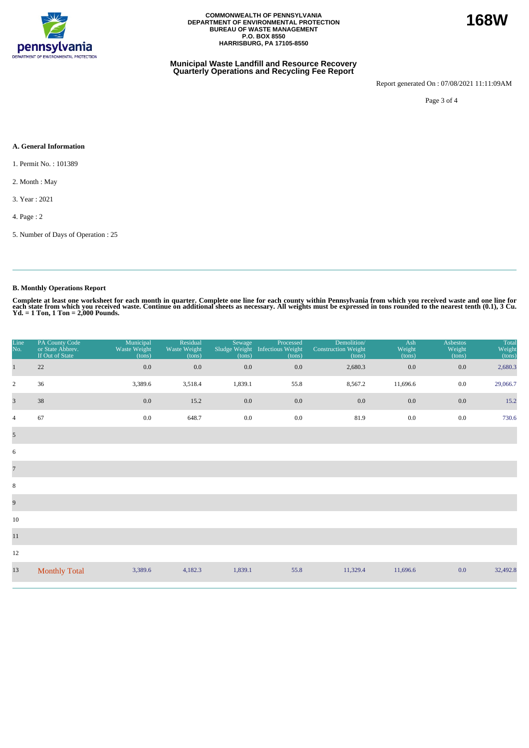

#### **Municipal Waste Landfill and Resource Recovery Quarterly Operations and Recycling Fee Report**

Report generated On : 07/08/2021 11:11:09AM

Page 3 of 4

#### **A. General Information**

1. Permit No. : 101389

2. Month : May

3. Year : 2021

4. Page : 2

5. Number of Days of Operation : 25

## **B. Monthly Operations Report**

Complete at least one worksheet for each month in quarter. Complete one line for each county within Pennsylvania from which you received waste and one line for<br>each state from which you received waste. Continue on addition

| Line<br>No.             | PA County Code<br>or State Abbrev.<br>If Out of State | Municipal<br>Waste Weight<br>(tons) | Residual<br>Waste Weight<br>(tons) | Sewage<br>Sludge Weight<br>(tons) | Processed<br>Infectious Weight<br>(tons) | Demolition/<br><b>Construction Weight</b><br>(tons) | Ash<br>Weight<br>(tons) | Asbestos<br>Weight<br>(tons) | Total<br>Weight<br>(tons) |
|-------------------------|-------------------------------------------------------|-------------------------------------|------------------------------------|-----------------------------------|------------------------------------------|-----------------------------------------------------|-------------------------|------------------------------|---------------------------|
| $\mathbf{1}$            | 22                                                    | $0.0\,$                             | 0.0                                | 0.0                               | 0.0                                      | 2,680.3                                             | 0.0                     | 0.0                          | 2,680.3                   |
| $\sqrt{2}$              | 36                                                    | 3,389.6                             | 3,518.4                            | 1,839.1                           | 55.8                                     | 8,567.2                                             | 11,696.6                | $0.0\,$                      | 29,066.7                  |
| $\overline{\mathbf{3}}$ | 38                                                    | 0.0                                 | 15.2                               | 0.0                               | 0.0                                      | 0.0                                                 | 0.0                     | $0.0\,$                      | 15.2                      |
| $\overline{4}$          | 67                                                    | 0.0                                 | 648.7                              | $0.0\,$                           | $0.0\,$                                  | 81.9                                                | 0.0                     | 0.0                          | 730.6                     |
| $\overline{5}$          |                                                       |                                     |                                    |                                   |                                          |                                                     |                         |                              |                           |
| 6                       |                                                       |                                     |                                    |                                   |                                          |                                                     |                         |                              |                           |
| $\overline{7}$          |                                                       |                                     |                                    |                                   |                                          |                                                     |                         |                              |                           |
| $\,8\,$                 |                                                       |                                     |                                    |                                   |                                          |                                                     |                         |                              |                           |
| $\overline{9}$          |                                                       |                                     |                                    |                                   |                                          |                                                     |                         |                              |                           |
| 10                      |                                                       |                                     |                                    |                                   |                                          |                                                     |                         |                              |                           |
| $11\,$                  |                                                       |                                     |                                    |                                   |                                          |                                                     |                         |                              |                           |
| 12                      |                                                       |                                     |                                    |                                   |                                          |                                                     |                         |                              |                           |
| 13                      | <b>Monthly Total</b>                                  | 3,389.6                             | 4,182.3                            | 1,839.1                           | 55.8                                     | 11,329.4                                            | 11,696.6                | 0.0                          | 32,492.8                  |